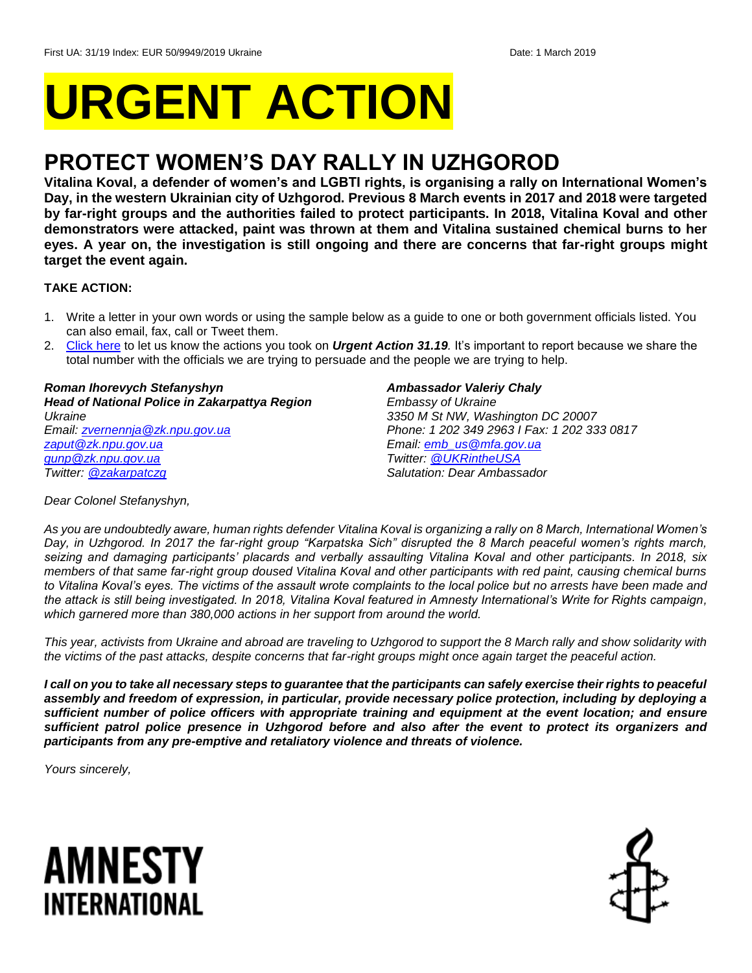# **URGENT ACTION**

## **PROTECT WOMEN'S DAY RALLY IN UZHGOROD**

**Vitalina Koval, a defender of women's and LGBTI rights, is organising a rally on International Women's Day, in the western Ukrainian city of Uzhgorod. Previous 8 March events in 2017 and 2018 were targeted by far-right groups and the authorities failed to protect participants. In 2018, Vitalina Koval and other demonstrators were attacked, paint was thrown at them and Vitalina sustained chemical burns to her eyes. A year on, the investigation is still ongoing and there are concerns that far-right groups might target the event again.**

#### **TAKE ACTION:**

- 1. Write a letter in your own words or using the sample below as a guide to one or both government officials listed. You can also email, fax, call or Tweet them.
- 2. [Click here](https://www.amnestyusa.org/report-urgent-actions/) to let us know the actions you took on *Urgent Action 31.19.* It's important to report because we share the total number with the officials we are trying to persuade and the people we are trying to help.

*Roman Ihorevych Stefanyshyn Head of National Police in Zakarpattya Region Ukraine Email: [zvernennja@zk.npu.gov.ua](mailto:zvernennja@zk.npu.gov.ua) [zaput@zk.npu.gov.ua](mailto:zaput@zk.npu.gov.ua) [gunp@zk.npu.gov.ua](mailto:gunp@zk.npu.gov.ua) Twitter: [@zakarpatczg](https://twitter.com/zakarpatczg?lang=en)*

#### *Ambassador Valeriy Chaly*

*Embassy of Ukraine 3350 M St NW, Washington DC 20007 Phone: 1 202 349 2963 I Fax: 1 202 333 0817 Email: [emb\\_us@mfa.gov.ua](mailto:emb_us@mfa.gov.ua) Twitter: [@UKRintheUSA](https://twitter.com/UKRintheUSA?ref_src=twsrc%5Egoogle%7Ctwcamp%5Eserp%7Ctwgr%5Eauthor) Salutation: Dear Ambassador*

*Dear Colonel Stefanyshyn,*

*As you are undoubtedly aware, human rights defender Vitalina Koval is organizing a rally on 8 March, International Women's Day, in Uzhgorod. In 2017 the far-right group "Karpatska Sich" disrupted the 8 March peaceful women's rights march, seizing and damaging participants' placards and verbally assaulting Vitalina Koval and other participants. In 2018, six members of that same far-right group doused Vitalina Koval and other participants with red paint, causing chemical burns to Vitalina Koval's eyes. The victims of the assault wrote complaints to the local police but no arrests have been made and the attack is still being investigated. In 2018, Vitalina Koval featured in Amnesty International's Write for Rights campaign, which garnered more than 380,000 actions in her support from around the world.* 

*This year, activists from Ukraine and abroad are traveling to Uzhgorod to support the 8 March rally and show solidarity with the victims of the past attacks, despite concerns that far-right groups might once again target the peaceful action.*

*I call on you to take all necessary steps to guarantee that the participants can safely exercise their rights to peaceful assembly and freedom of expression, in particular, provide necessary police protection, including by deploying a sufficient number of police officers with appropriate training and equipment at the event location; and ensure sufficient patrol police presence in Uzhgorod before and also after the event to protect its organizers and participants from any pre-emptive and retaliatory violence and threats of violence.* 

*Yours sincerely,*